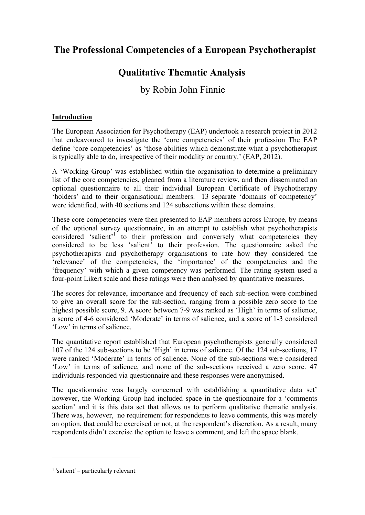# **The Professional Competencies of a European Psychotherapist**

# **Qualitative Thematic Analysis**

# by Robin John Finnie

# **Introduction**

The European Association for Psychotherapy (EAP) undertook a research project in 2012 that endeavoured to investigate the 'core competencies' of their profession The EAP define 'core competencies' as 'those abilities which demonstrate what a psychotherapist is typically able to do, irrespective of their modality or country.' (EAP, 2012).

A 'Working Group' was established within the organisation to determine a preliminary list of the core competencies, gleaned from a literature review, and then disseminated an optional questionnaire to all their individual European Certificate of Psychotherapy 'holders' and to their organisational members. 13 separate 'domains of competency' were identified, with 40 sections and 124 subsections within these domains.

These core competencies were then presented to EAP members across Europe, by means of the optional survey questionnaire, in an attempt to establish what psychotherapists considered 'salient'<sup>1</sup> to their profession and conversely what competencies they considered to be less 'salient' to their profession. The questionnaire asked the psychotherapists and psychotherapy organisations to rate how they considered the 'relevance' of the competencies, the 'importance' of the competencies and the 'frequency' with which a given competency was performed. The rating system used a four-point Likert scale and these ratings were then analysed by quantitative measures.

The scores for relevance, importance and frequency of each sub-section were combined to give an overall score for the sub-section, ranging from a possible zero score to the highest possible score, 9. A score between 7-9 was ranked as 'High' in terms of salience, a score of 4-6 considered 'Moderate' in terms of salience, and a score of 1-3 considered 'Low' in terms of salience.

The quantitative report established that European psychotherapists generally considered 107 of the 124 sub-sections to be 'High' in terms of salience. Of the 124 sub-sections, 17 were ranked 'Moderate' in terms of salience. None of the sub-sections were considered 'Low' in terms of salience, and none of the sub-sections received a zero score. 47 individuals responded via questionnaire and these responses were anonymised.

The questionnaire was largely concerned with establishing a quantitative data set' however, the Working Group had included space in the questionnaire for a 'comments section' and it is this data set that allows us to perform qualitative thematic analysis. There was, however, no requirement for respondents to leave comments, this was merely an option, that could be exercised or not, at the respondent's discretion. As a result, many respondents didn't exercise the option to leave a comment, and left the space blank.

<sup>1 &#</sup>x27;salient' – particularly relevant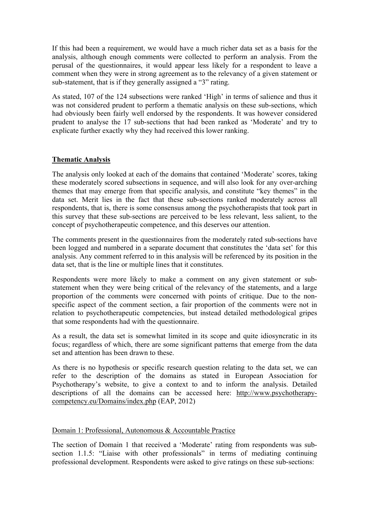If this had been a requirement, we would have a much richer data set as a basis for the analysis, although enough comments were collected to perform an analysis. From the perusal of the questionnaires, it would appear less likely for a respondent to leave a comment when they were in strong agreement as to the relevancy of a given statement or sub-statement, that is if they generally assigned a "3" rating.

As stated, 107 of the 124 subsections were ranked 'High' in terms of salience and thus it was not considered prudent to perform a thematic analysis on these sub-sections, which had obviously been fairly well endorsed by the respondents. It was however considered prudent to analyse the 17 sub-sections that had been ranked as 'Moderate' and try to explicate further exactly why they had received this lower ranking.

# **Thematic Analysis**

The analysis only looked at each of the domains that contained 'Moderate' scores, taking these moderately scored subsections in sequence, and will also look for any over-arching themes that may emerge from that specific analysis, and constitute "key themes" in the data set. Merit lies in the fact that these sub-sections ranked moderately across all respondents, that is, there is some consensus among the psychotherapists that took part in this survey that these sub-sections are perceived to be less relevant, less salient, to the concept of psychotherapeutic competence, and this deserves our attention.

The comments present in the questionnaires from the moderately rated sub-sections have been logged and numbered in a separate document that constitutes the 'data set' for this analysis. Any comment referred to in this analysis will be referenced by its position in the data set, that is the line or multiple lines that it constitutes.

Respondents were more likely to make a comment on any given statement or substatement when they were being critical of the relevancy of the statements, and a large proportion of the comments were concerned with points of critique. Due to the nonspecific aspect of the comment section, a fair proportion of the comments were not in relation to psychotherapeutic competencies, but instead detailed methodological gripes that some respondents had with the questionnaire.

As a result, the data set is somewhat limited in its scope and quite idiosyncratic in its focus; regardless of which, there are some significant patterns that emerge from the data set and attention has been drawn to these.

As there is no hypothesis or specific research question relating to the data set, we can refer to the description of the domains as stated in European Association for Psychotherapy's website, to give a context to and to inform the analysis. Detailed descriptions of all the domains can be accessed here: http://www.psychotherapycompetency.eu/Domains/index.php (EAP, 2012)

# Domain 1: Professional, Autonomous & Accountable Practice

The section of Domain 1 that received a 'Moderate' rating from respondents was subsection 1.1.5: "Liaise with other professionals" in terms of mediating continuing professional development. Respondents were asked to give ratings on these sub-sections: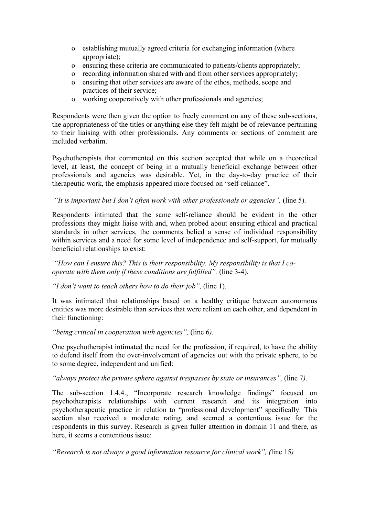- o establishing mutually agreed criteria for exchanging information (where appropriate);
- o ensuring these criteria are communicated to patients/clients appropriately;
- o recording information shared with and from other services appropriately;
- o ensuring that other services are aware of the ethos, methods, scope and practices of their service;
- o working cooperatively with other professionals and agencies;

Respondents were then given the option to freely comment on any of these sub-sections, the appropriateness of the titles or anything else they felt might be of relevance pertaining to their liaising with other professionals. Any comments or sections of comment are included verbatim.

Psychotherapists that commented on this section accepted that while on a theoretical level, at least, the concept of being in a mutually beneficial exchange between other professionals and agencies was desirable. Yet, in the day-to-day practice of their therapeutic work, the emphasis appeared more focused on "self-reliance".

*"It is important but I don't often work with other professionals or agencies",* (line 5).

Respondents intimated that the same self-reliance should be evident in the other professions they might liaise with and, when probed about ensuring ethical and practical standards in other services, the comments belied a sense of individual responsibility within services and a need for some level of independence and self-support, for mutually beneficial relationships to exist:

*"How can I ensure this? This is their responsibility. My responsibility is that I cooperate with them only if these conditions are fulfilled",* (line 3-4).

*"I don't want to teach others how to do their job",* (line 1).

It was intimated that relationships based on a healthy critique between autonomous entities was more desirable than services that were reliant on each other, and dependent in their functioning:

*"being critical in cooperation with agencies",* (line 6*).* 

One psychotherapist intimated the need for the profession, if required, to have the ability to defend itself from the over-involvement of agencies out with the private sphere, to be to some degree, independent and unified:

*"always protect the private sphere against trespasses by state or insurances",* (line 7*).*

The sub-section 1.4.4., "Incorporate research knowledge findings" focused on psychotherapists relationships with current research and its integration into psychotherapeutic practice in relation to "professional development" specifically. This section also received a moderate rating, and seemed a contentious issue for the respondents in this survey. Research is given fuller attention in domain 11 and there, as here, it seems a contentious issue:

*"Research is not always a good information resource for clinical work", (*line 15*)*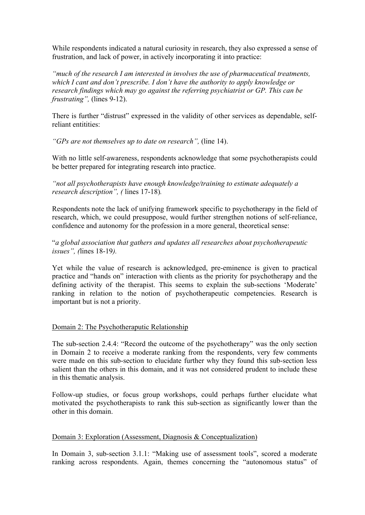While respondents indicated a natural curiosity in research, they also expressed a sense of frustration, and lack of power, in actively incorporating it into practice:

*"much of the research I am interested in involves the use of pharmaceutical treatments, which I cant and don't prescribe. I don't have the authority to apply knowledge or research findings which may go against the referring psychiatrist or GP. This can be frustrating",* (lines 9-12).

There is further "distrust" expressed in the validity of other services as dependable, selfreliant entitities:

*"GPs are not themselves up to date on research",* (line 14).

With no little self-awareness, respondents acknowledge that some psychotherapists could be better prepared for integrating research into practice.

*"not all psychotherapists have enough knowledge/training to estimate adequately a research description", (* lines 17-18)*.*

Respondents note the lack of unifying framework specific to psychotherapy in the field of research, which, we could presuppose, would further strengthen notions of self-reliance, confidence and autonomy for the profession in a more general, theoretical sense:

"*a global association that gathers and updates all researches about psychotherapeutic issues", (*lines 18-19*).* 

Yet while the value of research is acknowledged, pre-eminence is given to practical practice and "hands on" interaction with clients as the priority for psychotherapy and the defining activity of the therapist. This seems to explain the sub-sections 'Moderate' ranking in relation to the notion of psychotherapeutic competencies. Research is important but is not a priority.

# Domain 2: The Psychotheraputic Relationship

The sub-section 2.4.4: "Record the outcome of the psychotherapy" was the only section in Domain 2 to receive a moderate ranking from the respondents, very few comments were made on this sub-section to elucidate further why they found this sub-section less salient than the others in this domain, and it was not considered prudent to include these in this thematic analysis.

Follow-up studies, or focus group workshops, could perhaps further elucidate what motivated the psychotherapists to rank this sub-section as significantly lower than the other in this domain.

# Domain 3: Exploration (Assessment, Diagnosis & Conceptualization)

In Domain 3, sub-section 3.1.1: "Making use of assessment tools", scored a moderate ranking across respondents. Again, themes concerning the "autonomous status" of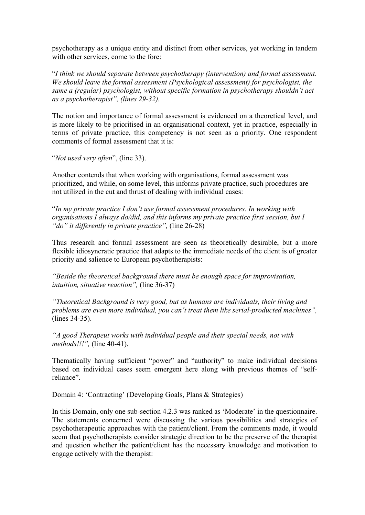psychotherapy as a unique entity and distinct from other services, yet working in tandem with other services, come to the fore:

"*I think we should separate between psychotherapy (intervention) and formal assessment. We should leave the formal assessment (Psychological assessment) for psychologist, the same a (regular) psychologist, without specific formation in psychotherapy shouldn't act as a psychotherapist", (lines 29-32).*

The notion and importance of formal assessment is evidenced on a theoretical level, and is more likely to be prioritised in an organisational context, yet in practice, especially in terms of private practice, this competency is not seen as a priority. One respondent comments of formal assessment that it is:

"*Not used very often*", (line 33).

Another contends that when working with organisations, formal assessment was prioritized, and while, on some level, this informs private practice, such procedures are not utilized in the cut and thrust of dealing with individual cases:

"*In my private practice I don't use formal assessment procedures. In working with organisations I always do/did, and this informs my private practice first session, but I "do" it differently in private practice",* (line 26-28)

Thus research and formal assessment are seen as theoretically desirable, but a more flexible idiosyncratic practice that adapts to the immediate needs of the client is of greater priority and salience to European psychotherapists:

*"Beside the theoretical background there must be enough space for improvisation, intuition, situative reaction",* (line 36-37)

*"Theoretical Background is very good, but as humans are individuals, their living and problems are even more individual, you can´t treat them like serial-producted machines",*  (lines 34-35).

*"A good Therapeut works with individual people and their special needs, not with methods!!!",* (line 40-41).

Thematically having sufficient "power" and "authority" to make individual decisions based on individual cases seem emergent here along with previous themes of "selfreliance".

Domain 4: 'Contracting' (Developing Goals, Plans & Strategies)

In this Domain, only one sub-section 4.2.3 was ranked as 'Moderate' in the questionnaire. The statements concerned were discussing the various possibilities and strategies of psychotherapeutic approaches with the patient/client. From the comments made, it would seem that psychotherapists consider strategic direction to be the preserve of the therapist and question whether the patient/client has the necessary knowledge and motivation to engage actively with the therapist: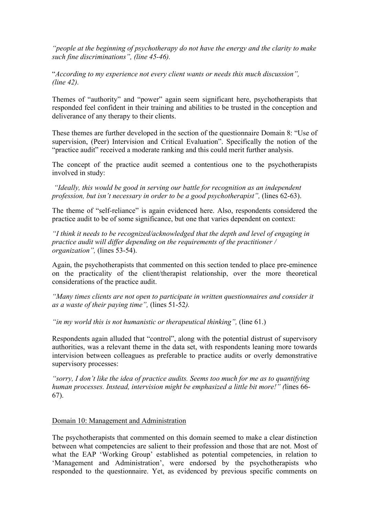*"people at the beginning of psychotherapy do not have the energy and the clarity to make such fine discriminations", (line 45-46).*

"*According to my experience not every client wants or needs this much discussion", (line 42).*

Themes of "authority" and "power" again seem significant here, psychotherapists that responded feel confident in their training and abilities to be trusted in the conception and deliverance of any therapy to their clients.

These themes are further developed in the section of the questionnaire Domain 8: "Use of supervision, (Peer) Intervision and Critical Evaluation". Specifically the notion of the "practice audit" received a moderate ranking and this could merit further analysis.

The concept of the practice audit seemed a contentious one to the psychotherapists involved in study:

 *"Ideally, this would be good in serving our battle for recognition as an independent profession, but isn't necessary in order to be a good psychotherapist",* (lines 62-63).

The theme of "self-reliance" is again evidenced here. Also, respondents considered the practice audit to be of some significance, but one that varies dependent on context:

*"I think it needs to be recognized/acknowledged that the depth and level of engaging in practice audit will differ depending on the requirements of the practitioner / organization",* (lines 53-54).

Again, the psychotherapists that commented on this section tended to place pre-eminence on the practicality of the client/therapist relationship, over the more theoretical considerations of the practice audit.

*"Many times clients are not open to participate in written questionnaires and consider it as a waste of their paying time",* (lines 51-52*).*

*"in my world this is not humanistic or therapeutical thinking",* (line 61.)

Respondents again alluded that "control", along with the potential distrust of supervisory authorities, was a relevant theme in the data set, with respondents leaning more towards intervision between colleagues as preferable to practice audits or overly demonstrative supervisory processes:

*"sorry, I don't like the idea of practice audits. Seems too much for me as to quantifying human processes. Instead, intervision might be emphasized a little bit more!" (*lines 66- 67).

# Domain 10: Management and Administration

The psychotherapists that commented on this domain seemed to make a clear distinction between what competencies are salient to their profession and those that are not. Most of what the EAP 'Working Group' established as potential competencies, in relation to 'Management and Administration', were endorsed by the psychotherapists who responded to the questionnaire. Yet, as evidenced by previous specific comments on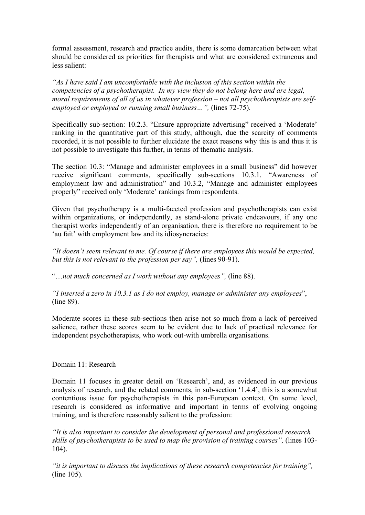formal assessment, research and practice audits, there is some demarcation between what should be considered as priorities for therapists and what are considered extraneous and less salient:

*"As I have said I am uncomfortable with the inclusion of this section within the competencies of a psychotherapist. In my view they do not belong here and are legal, moral requirements of all of us in whatever profession – not all psychotherapists are selfemployed or employed or running small business…",* (lines 72-75).

Specifically sub-section: 10.2.3. "Ensure appropriate advertising" received a 'Moderate' ranking in the quantitative part of this study, although, due the scarcity of comments recorded, it is not possible to further elucidate the exact reasons why this is and thus it is not possible to investigate this further, in terms of thematic analysis.

The section 10.3: "Manage and administer employees in a small business" did however receive significant comments, specifically sub-sections 10.3.1. "Awareness of employment law and administration" and 10.3.2, "Manage and administer employees properly" received only 'Moderate' rankings from respondents.

Given that psychotherapy is a multi-faceted profession and psychotherapists can exist within organizations, or independently, as stand-alone private endeavours, if any one therapist works independently of an organisation, there is therefore no requirement to be 'au fait' with employment law and its idiosyncracies:

*"It doesn't seem relevant to me. Of course if there are employees this would be expected, but this is not relevant to the profession per say",* (lines 90-91).

"…*not much concerned as I work without any employees",* (line 88).

*"I inserted a zero in 10.3.1 as I do not employ, manage or administer any employees*", (line 89).

Moderate scores in these sub-sections then arise not so much from a lack of perceived salience, rather these scores seem to be evident due to lack of practical relevance for independent psychotherapists, who work out-with umbrella organisations.

# Domain 11: Research

Domain 11 focuses in greater detail on 'Research', and, as evidenced in our previous analysis of research, and the related comments, in sub-section '1.4.4', this is a somewhat contentious issue for psychotherapists in this pan-European context. On some level, research is considered as informative and important in terms of evolving ongoing training, and is therefore reasonably salient to the profession:

*"It is also important to consider the development of personal and professional research skills of psychotherapists to be used to map the provision of training courses",* (lines 103- 104).

*"it is important to discuss the implications of these research competencies for training",*  (line 105).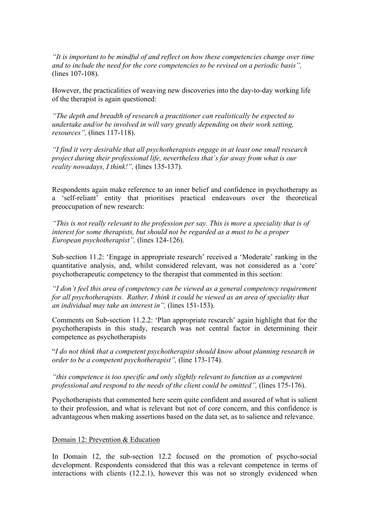*"It is important to be mindful of and reflect on how these competencies change over time and to include the need for the core competencies to be revised on a periodic basis",* (lines 107-108).

However, the practicalities of weaving new discoveries into the day-to-day working life of the therapist is again questioned:

*"The depth and breadth of research a practitioner can realistically be expected to undertake and/or be involved in will vary greatly depending on their work setting, resources",* (lines 117-118).

*"I find it very desirable that all psychotherapists engage in at least one small research project during their professional life, nevertheless that´s far away from what is our reality nowadays, I think!",* (lines 135-137).

Respondents again make reference to an inner belief and confidence in psychotherapy as a 'self-reliant' entity that prioritises practical endeavours over the theoretical preoccupation of new research:

*"This is not really relevant to the profession per say. This is more a speciality that is of interest for some therapists, but should not be regarded as a must to be a proper European psychotherapist",* (lines 124-126).

Sub-section 11.2: 'Engage in appropriate research' received a 'Moderate' ranking in the quantitative analysis, and, whilst considered relevant, was not considered as a 'core' psychotherapeutic competency to the therapist that commented in this section:

*"I don't feel this area of competency can be viewed as a general competency requirement for all psychotherapists. Rather, I think it could be viewed as an area of speciality that an individual may take an interest in",* (lines 151-153).

Comments on Sub-section 11.2.2: 'Plan appropriate research' again highlight that for the psychotherapists in this study, research was not central factor in determining their competence as psychotherapists

"*I do not think that a competent psychotherapist should know about planning research in order to be a competent psychotherapist",* (line 173-174).

*"this competence is too specific and only slightly relevant to function as a competent professional and respond to the needs of the client could be omitted",* (lines 175-176).

Psychotherapists that commented here seem quite confident and assured of what is salient to their profession, and what is relevant but not of core concern, and this confidence is advantageous when making assertions based on the data set, as to salience and relevance.

Domain 12: Prevention & Education

In Domain 12, the sub-section 12.2 focused on the promotion of psycho-social development. Respondents considered that this was a relevant competence in terms of interactions with clients (12.2.1), however this was not so strongly evidenced when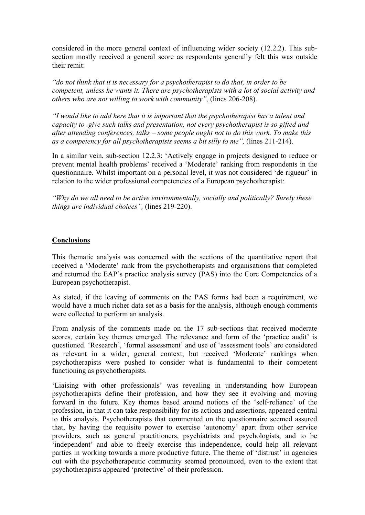considered in the more general context of influencing wider society (12.2.2). This subsection mostly received a general score as respondents generally felt this was outside their remit:

*"do not think that it is necessary for a psychotherapist to do that, in order to be competent, unless he wants it. There are psychotherapists with a lot of social activity and others who are not willing to work with community",* (lines 206-208).

*"I would like to add here that it is important that the psychotherapist has a talent and capacity to .give such talks and presentation, not every psychotherapist is so gifted and after attending conferences, talks – some people ought not to do this work. To make this as a competency for all psychotherapists seems a bit silly to me",* (lines 211-214).

In a similar vein, sub-section 12.2.3: 'Actively engage in projects designed to reduce or prevent mental health problems' received a 'Moderate' ranking from respondents in the questionnaire. Whilst important on a personal level, it was not considered 'de rigueur' in relation to the wider professional competencies of a European psychotherapist:

*"Why do we all need to be active environmentally, socially and politically? Surely these things are individual choices",* (lines 219-220).

# **Conclusions**

This thematic analysis was concerned with the sections of the quantitative report that received a 'Moderate' rank from the psychotherapists and organisations that completed and returned the EAP's practice analysis survey (PAS) into the Core Competencies of a European psychotherapist.

As stated, if the leaving of comments on the PAS forms had been a requirement, we would have a much richer data set as a basis for the analysis, although enough comments were collected to perform an analysis.

From analysis of the comments made on the 17 sub-sections that received moderate scores, certain key themes emerged. The relevance and form of the 'practice audit' is questioned. 'Research', 'formal assessment' and use of 'assessment tools' are considered as relevant in a wider, general context, but received 'Moderate' rankings when psychotherapists were pushed to consider what is fundamental to their competent functioning as psychotherapists.

'Liaising with other professionals' was revealing in understanding how European psychotherapists define their profession, and how they see it evolving and moving forward in the future. Key themes based around notions of the 'self-reliance' of the profession, in that it can take responsibility for its actions and assertions, appeared central to this analysis. Psychotherapists that commented on the questionnaire seemed assured that, by having the requisite power to exercise 'autonomy' apart from other service providers, such as general practitioners, psychiatrists and psychologists, and to be 'independent' and able to freely exercise this independence, could help all relevant parties in working towards a more productive future. The theme of 'distrust' in agencies out with the psychotherapeutic community seemed pronounced, even to the extent that psychotherapists appeared 'protective' of their profession.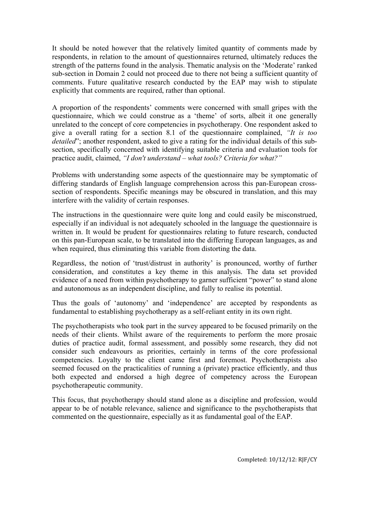It should be noted however that the relatively limited quantity of comments made by respondents, in relation to the amount of questionnaires returned, ultimately reduces the strength of the patterns found in the analysis. Thematic analysis on the 'Moderate' ranked sub-section in Domain 2 could not proceed due to there not being a sufficient quantity of comments. Future qualitative research conducted by the EAP may wish to stipulate explicitly that comments are required, rather than optional.

A proportion of the respondents' comments were concerned with small gripes with the questionnaire, which we could construe as a 'theme' of sorts, albeit it one generally unrelated to the concept of core competencies in psychotherapy. One respondent asked to give a overall rating for a section 8.1 of the questionnaire complained, *"It is too detailed*"; another respondent, asked to give a rating for the individual details of this subsection, specifically concerned with identifying suitable criteria and evaluation tools for practice audit, claimed, *"I don't understand – what tools? Criteria for what?"*

Problems with understanding some aspects of the questionnaire may be symptomatic of differing standards of English language comprehension across this pan-European crosssection of respondents. Specific meanings may be obscured in translation, and this may interfere with the validity of certain responses.

The instructions in the questionnaire were quite long and could easily be misconstrued, especially if an individual is not adequately schooled in the language the questionnaire is written in. It would be prudent for questionnaires relating to future research, conducted on this pan-European scale, to be translated into the differing European languages, as and when required, thus eliminating this variable from distorting the data.

Regardless, the notion of 'trust/distrust in authority' is pronounced, worthy of further consideration, and constitutes a key theme in this analysis. The data set provided evidence of a need from within psychotherapy to garner sufficient "power" to stand alone and autonomous as an independent discipline, and fully to realise its potential.

Thus the goals of 'autonomy' and 'independence' are accepted by respondents as fundamental to establishing psychotherapy as a self-reliant entity in its own right.

The psychotherapists who took part in the survey appeared to be focused primarily on the needs of their clients. Whilst aware of the requirements to perform the more prosaic duties of practice audit, formal assessment, and possibly some research, they did not consider such endeavours as priorities, certainly in terms of the core professional competencies. Loyalty to the client came first and foremost. Psychotherapists also seemed focused on the practicalities of running a (private) practice efficiently, and thus both expected and endorsed a high degree of competency across the European psychotherapeutic community.

This focus, that psychotherapy should stand alone as a discipline and profession, would appear to be of notable relevance, salience and significance to the psychotherapists that commented on the questionnaire, especially as it as fundamental goal of the EAP.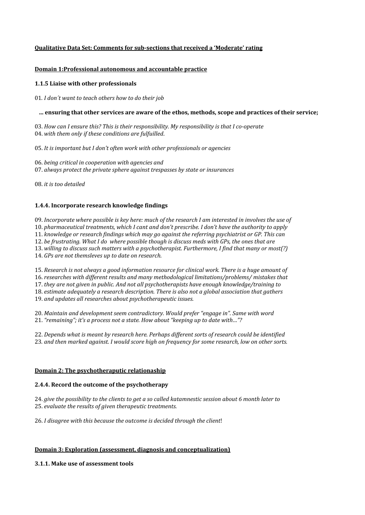# **Qualitative Data Set: Comments for subsections that received a 'Moderate' rating**

## **Domain 1:Professional autonomous and accountable practice**

## **1.1.5 Liaise with other professionals**

01*. I don´t want to teach others how to do their job*

## **… ensuring that other services are aware of the ethos, methods, scope and practices of their service;**

03. *How can I ensure this? This is their responsibility. My responsibility is that I cooperate* 04. *with them only if these conditions are fulfuilled*.

05. *It is important but I don't often work with other professionals or agencies*

06. *being critical in cooperation with agencies and* 07. *always protect the private sphere against trespasses by state or insurances*

08. *it is too detailed*

# **1.4.4. Incorporate research knowledge findings**

09. *Incorporate where possible is key here: much of the research I am interested in involves the use of* 10. *pharmaceutical treatments, which I cant and don't prescribe. I don't have the authority to apply*  11. *knowledge or research findings which may go against the referring psychiatrist or GP. This can*  12. *be frustrating. What I do where possible though is discuss meds with GPs, the ones that are*  13. *willing to discuss such matters with a psychotherapist. Furthermore, I find that many or most(?)* 14. *GPs are not themsleves up to date on research.*

15. *Research is not always a good information resource for clinical work. There is a huge amount of* 16. *researches with different results and many methodological limitations/problems/ mistakes that*  17. *they are not given in public. And not all psychotherapists have enough knowledge/training to*  18. *estimate adequately a research description. There is also not a global association that gathers* 19. *and updates all researches about psychotherapeutic issues.* 

20. *Maintain and development seem contradictory. Would prefer "engage in". Same with word*  21. *"remaining"; it's a process not a state. How about "keeping up to date with…"?*

22. *Depends what is meant by research here. Perhaps different sorts of research could be identified* 23*. and then marked against. I would score high on frequency for some research, low on other sorts.* 

# **Domain 2: The psychotheraputic relationaship**

#### **2.4.4. Record the outcome of the psychotherapy**

24. *give the possibility to the clients to get a so called katamnestic session about 6 month later to*  25. *evaluate the results of given therapeutic treatments.*

26. *I disagree with this because the outcome is decided through the client*!

# **Domain 3: Exploration (assessment, diagnosis and conceptualization)**

**3.1.1. Make use of assessment tools**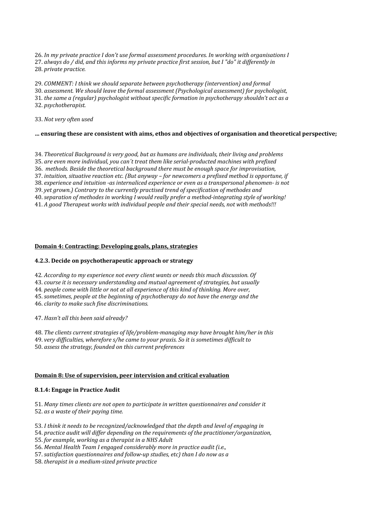26. *In my private practice I don't use formal assessment procedures. In working with organisations I* 27. *always do / did, and this informs my private practice first session, but I "do" it differently in*  28. *private practice.* 

29. *COMMENT: I think we should separate between psychotherapy (intervention) and formal* 30. *assessment. We should leave the formal assessment (Psychological assessment) for psychologist,*  31*. the same a (regular) psychologist without specific formation in psychotherapy shouldn't act as a*  32. *psychotherapist.* 

33. *Not very often used*

#### **… ensuring these are consistent with aims, ethos and objectives of organisation and theoretical perspective;**

34. *Theoretical Background is very good, but as humans are individuals, their living and problems* 35. *are even more individual, you can´t treat them like serialproducted machines with prefixed*  36. *methods. Beside the theoretical background there must be enough space for improvisation,* 37. *intuition, situative reaction etc. (But anyway – for newcomers a prefixed method is opportune, if*  38. *experience and intuition as internaliced experience or even as a transpersonal phenomen is not*  39. *yet grown.) Contrary to the currently practised trend of specification of methodes and* 40. *separation of methodes in working I would really prefer a methodintegrating style of working!* 41. *A good Therapeut works with individual people and their special needs, not with methods!!!*

#### **Domain 4: Contracting: Developing goals, plans, strategies**

#### **4.2.3. Decide on psychotherapeutic approach or strategy**

42*. According to my experience not every client wants or needs this much discussion. Of*

43. *course it is necessary understanding and mutual agreement of strategies, but usually*

44*. people come with little or not at all experience of this kind of thinking. More over,* 

45. *sometimes, people at the beginning of psychotherapy do not have the energy and the* 46. *clarity to make such fine discriminations.*

47. *Hasn't all this been said already?* 

48. *The clients current strategies of life/problemmanaging may have brought him/her in this*

49. *very difficulties, wherefore s/he came to your praxis. So it is sometimes difficult to*

50. *assess the strategy, founded on this current preferences* 

#### **Domain 8: Use of supervision, peer intervision and critical evaluation**

# **8.1.4: Engage in Practice Audit**

51. *Many times clients are not open to participate in written questionnaires and consider it* 52. *as a waste of their paying time.*

53. *I think it needs to be recognized/acknowledged that the depth and level of engaging in*

54. *practice audit will differ depending on the requirements of the practitioner/organization,*

55. *for example, working as a therapist in a NHS Adult* 

56. *Mental Health Team I engaged considerably more in practice audit (i.e.,*

57. *satisfaction questionnaires and followup studies, etc) than I do now as a* 

58. *therapist in a mediumsized private practice*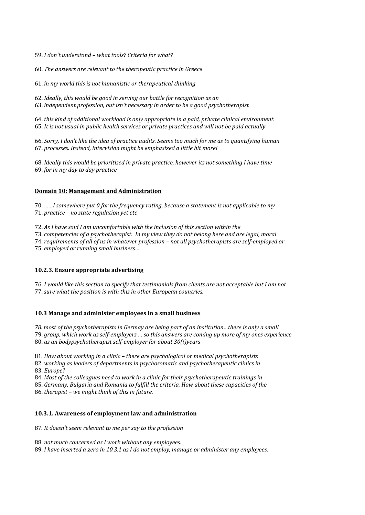59. *I don't understand – what tools? Criteria for what?*

60. *The answers are relevant to the therapeutic practice in Greece*

61. *in my world this is not humanistic or therapeutical thinking*

62. *Ideally, this would be good in serving our battle for recognition as an* 63. *independent profession, but isn't necessary in order to be a good psychotherapist*

64. *this kind of additional workload is only appropriate in a paid, private clinical environment.*  65. *It is not usual in public health services or private practices and will not be paid actually*

66. *Sorry, I don't like the idea of practice audits. Seems too much for me as to quantifying human* 67. *processes. Instead, intervision might be emphasized a little bit more!*

68. *Ideally this would be prioritised in private practice, however its not something I have time* 69. *for in my day to day practice*

## **Domain 10: Management and Administration**

70. *……I somewhere put 0 for the frequency rating, because a statement is not applicable to my* 71. *practice – no state regulation yet etc* 

72. *As I have said I am uncomfortable with the inclusion of this section within the*

73. *competencies of a psychotherapist. In my view they do not belong here and are legal, moral* 

74. *requirements of all of us in whatever profession – not all psychotherapists are selfemployed or*  75. *employed or running small business…*

# **10.2.3. Ensure appropriate advertising**

76. *I would like this section to specify that testimonials from clients are not acceptable but I am not* 77. *sure what the position is with this in other European countries.* 

#### **10.3 Manage and administer employees in a small business**

*78. most of the psychotherapists in Germay are being part of an institution…there is only a small*  79. *group, which work as selfemployers … so this answers are coming up more of my ones experience*  80. *as an bodypsychotherapist self-employer for about 30(!)years* 

81*. How about working in a clinic – there are psychological or medical psychotherapists*

82. *working as leaders of departments in psychosomatic and psychotherapeutic clinics in*  83. *Europe?* 

84. *Most of the colleagues need to work in a clinic for their psychotherapeutic trainings in*  85. *Germany, Bulgaria and Romania to fulfill the criteria. How about these capacities of the* 86. *therapist – we might think of this in future.*

#### **10.3.1. Awareness of employment law and administration**

87*. It doesn't seem relevant to me per say to the profession* 

88. *not much concerned as I work without any employees.* 

89. *I have inserted a zero in 10.3.1 as I do not employ, manage or administer any employees*.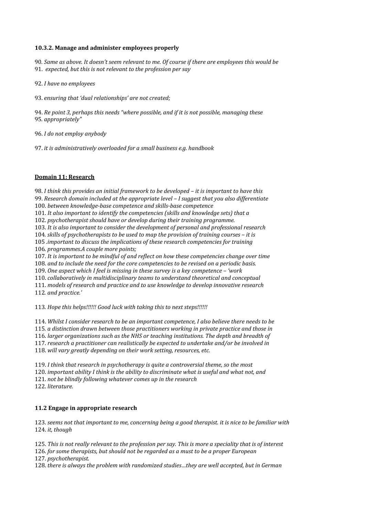## **10.3.2. Manage and administer employees properly**

90*. Same as above. It doesn't seem relevant to me. Of course if there are employees this would be*  91. *expected, but this is not relevant to the profession per say*

92. *I have no employees* 

93. *ensuring that 'dual relationships' are not created;*

94. *Re point 3, perhaps this needs "where possible, and if it is not possible, managing these* 95*. appropriately"*

96. *I do not employ anybody* 

97. *it is administratively overloaded for a small business e.g. handbook*

## **Domain 11: Research**

98. *I think this provides an initial framework to be developed – it is important to have this*  99. *Research domain included at the appropriate level – I suggest that you also differentiate*  100. *between knowledge-base competence and skills-base competence* 101. *It also important to identify the competencies (skills and knowledge sets) that a*  102. *psychotherapist should have or develop during their training programme.* 103. *It is also important to consider the development of personal and professional research*  104*. skills of psychotherapists to be used to map the provision of training courses – it is* 105 *.important to discuss the implications of these research competencies for training*  106*. programmes.A couple more points;* 107. *It is important to be mindful of and reflect on how these competencies change over time*  108. *and to include the need for the core competencies to be revised on a periodic basis.* 109. *One aspect which I feel is missing in these survey is a key competence – 'work*  110. *collaboratively in multidisciplinary teams to understand theoretical and conceptual*  111. *models of research and practice and to use knowledge to develop innovative research*  112*. and practice.'*

113*. Hope this helps!!!!!! Good luck with taking this to next steps!!!!!!* 

114. *Whilst I consider research to be an important competence, I also believe there needs to be*  115*. a distinction drawn between those practitioners working in private practice and those in*  116. *larger organizations such as the NHS or teaching institutions. The depth and breadth of*  117. *research a practitioner can realistically be expected to undertake and/or be involved in* 

118. *will vary greatly depending on their work setting, resources, etc.* 

119. *I think that research in psychotherapy is quite a controversial theme, so the most*  120. *important ability I think is the ability to discriminate what is useful and what not, and*  121. *not be blindly following whatever comes up in the research*  122. *literature.*

#### **11.2 Engage in appropriate research**

123. *seems not that important to me, concerning being a good therapist. it is nice to be familiar with*  124. *it, though*

125. *This is not really relevant to the profession per say. This is more a speciality that is of interest* 

126. *for some therapists, but should not be regarded as a must to be a proper European* 

127. *psychotherapist.*

128. *there is always the problem with randomized studies…they are well accepted, but in German*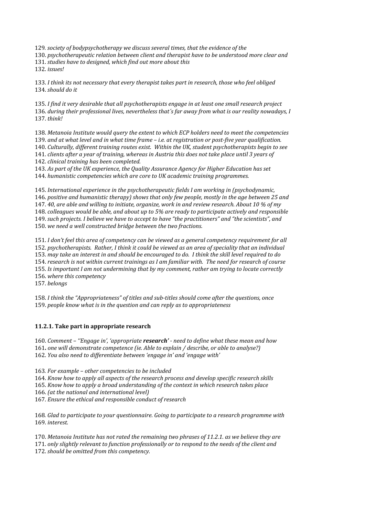129*. society of bodypsychotherapy we discuss several times, that the evidence of the* 

130. *psychotherapeutic relation between client and therapist have to be understood more clear and*  131. *studies have to designed, which find out more about this* 

132. *issues!*

133. *I think its not necessary that every therapist takes part in research, those who feel obliged*  134. *should do it* 

135. *I find it very desirable that all psychotherapists engage in at least one small research project*  136. *during their professional lives, nevertheless that´s far away from what is our reality nowadays, I*  137. *think!* 

138. *Metanoia Institute would query the extent to which ECP holders need to meet the competencies*  139. *and at what level and in what time frame – i.e. at registration or postfive year qualification.* 140. *Culturally, different training routes exist. Within the UK, student psychotherapists begin to see*  141. *clients after a year of training, whereas in Austria this does not take place until 3 years of*  142. *clinical training has been completed.*

143. *As part of the UK experience, the Quality Assurance Agency for Higher Education has set*  144. *humanistic competencies which are core to UK academic training programmes.* 

145. *International experience in the psychotherapeutic fields I am working in (psychodynamic,*  146. *positive and humanistic therapy) shows that only few people, mostly in the age between 25 and*  147. *40, are able and willing to initiate, organize, work in and review research. About 10 % of my*  148. *colleagues would be able, and about up to 5% are ready to participate actively and responsible* 149. *such projects. I believe we have to accept to have "the practitioners" and "the scientists", and* 150. *we need a well constructed bridge between the two fractions.* 

151. *I don't feel this area of competency can be viewed as a general competency requirement for all*  152. *psychotherapists. Rather, I think it could be viewed as an area of speciality that an individual*  153. *may take an interest in and should be encouraged to do. I think the skill level required to do*  154. *research is not within current trainings as I am familiar with. The need for research of course*  155. *Is important I am not undermining that by my comment, rather am trying to locate correctly*  156. *where this competency* 

157. *belongs*

158. *I think the "Appropriateness" of titles and subtitles should come after the questions, once*  159. *people know what is in the question and can reply as to appropriateness* 

# **11.2.1. Take part in appropriate research**

160. *Comment – ''Engage in', 'appropriate research' need to define what these mean and how*  161**.** *one will demonstrate competence (ie. Able to explain / describe, or able to analyse?)* 162. *You also need to differentiate between 'engage in' and 'engage with'*

163*. For example – other competencies to be included*

164. *Know how to apply all aspects of the research process and develop specific research skills* 165. *Know how to apply a broad understanding of the context in which research takes place* 

166. *(at the national and international level)*

167. *Ensure the ethical and responsible conduct of research* 

168*. Glad to participate to your questionnaire. Going to participate to a research programme with*  169. *interest.* 

170. *Metanoia Institute has not rated the remaining two phrases of 11.2.1. as we believe they are*  171. *only slightly relevant to function professionally or to respond to the needs of the client and*  172. *should be omitted from this competency.*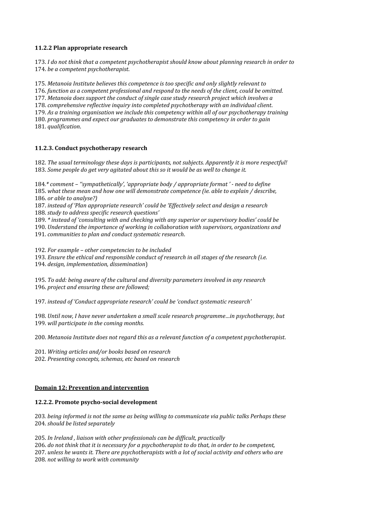# **11.2.2 Plan appropriate research**

173. *I do not think that a competent psychotherapist should know about planning research in order to*  174. *be a competent psychotherapist*.

175. *Metanoia Institute believes this competence is too specific and only slightly relevant to*  176. *function as a competent professional and respond to the needs of the client, could be omitted.* 177. *Metanoia does support the conduct of single case study research project which involves a*  178. *comprehensive reflective inquiry into completed psychotherapy with an individual client*. 179. *As a training organisation we include this competency within all of our psychotherapy training*  180. *programmes and expect our graduates to demonstrate this competency in order to gain*  181. *qualification*.

# **11.2.3. Conduct psychotherapy research**

182. *The usual terminology these days is participants, not subjects. Apparently it is more respectful!*  183. *Some people do get very agitated about this so it would be as well to change it.*

184*.\* comment – ''sympathetically', 'appropriate body / appropriate format ' need to define*  185. *what these mean and how one will demonstrate competence (ie. able to explain / describe,*  186. *or able to analyse?)*

187. *instead of 'Plan appropriate research' could be 'Effectively select and design a research*  188. *study to address specific research questions'*

189. *\* instead of 'consulting with and checking with any superior or supervisory bodies' could be* 

190. *Understand the importance of working in collaboration with supervisors, organizations and*  191. *communities to plan and conduct systematic research*.

192. *For example – other competencies to be included*

193. *Ensure the ethical and responsible conduct of research in all stages of the research (i.e.*  194. *design, implementation, dissemination*)

195. *To add: being aware of the cultural and diversity parameters involved in any research*  196. *project and ensuring these are followed;* 

197. *instead of 'Conduct appropriate research' could be 'conduct systematic research'* 

198. *Until now, I have never undertaken a small scale research programme…in psychotherapy, but*  199. *will participate in the coming months.* 

200. *Metanoia Institute does not regard this as a relevant function of a competent psychotherapist*.

201. *Writing articles and/or books based on research* 

202. *Presenting concepts, schemas, etc based on research* 

# **Domain 12: Prevention and intervention**

# 12.2.2. Promote psycho-social development

203*. being informed is not the same as being willing to communicate via public talks Perhaps these*  204. *should be listed separately*

205. *In Ireland , liaison with other professionals can be difficult, practically*  206. *do not think that it is necessary for a psychotherapist to do that, in order to be competent,*  207. *unless he wants it. There are psychotherapists with a lot of social activity and others who are*  208. *not willing to work with community*